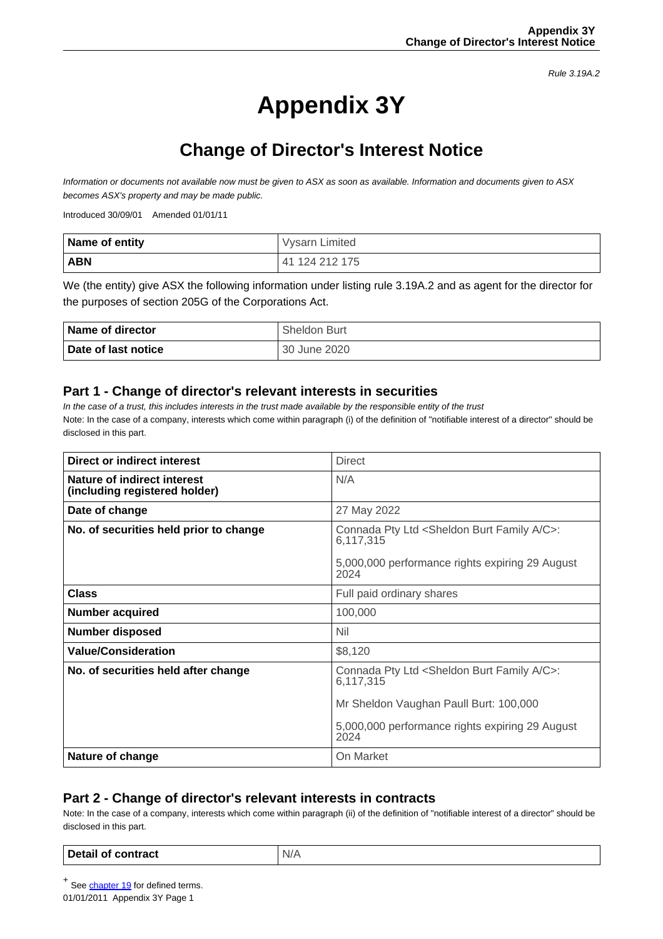Rule 3.19A.2

# **Appendix 3Y**

## **Change of Director's Interest Notice**

Information or documents not available now must be given to ASX as soon as available. Information and documents given to ASX becomes ASX's property and may be made public.

Introduced 30/09/01 Amended 01/01/11

| Name of entity | Vysarn Limited  |
|----------------|-----------------|
| <b>ABN</b>     | 141 124 212 175 |

We (the entity) give ASX the following information under listing rule 3.19A.2 and as agent for the director for the purposes of section 205G of the Corporations Act.

| Name of director    | <b>Sheldon Burt</b> |
|---------------------|---------------------|
| Date of last notice | 30 June 2020        |

### **Part 1 - Change of director's relevant interests in securities**

In the case of a trust, this includes interests in the trust made available by the responsible entity of the trust Note: In the case of a company, interests which come within paragraph (i) of the definition of "notifiable interest of a director" should be disclosed in this part.

| Direct or indirect interest                                  | <b>Direct</b>                                                                  |  |
|--------------------------------------------------------------|--------------------------------------------------------------------------------|--|
| Nature of indirect interest<br>(including registered holder) | N/A                                                                            |  |
| Date of change                                               | 27 May 2022                                                                    |  |
| No. of securities held prior to change                       | Connada Pty Ltd <sheldon a="" burt="" c="" family="">:<br/>6,117,315</sheldon> |  |
|                                                              | 5,000,000 performance rights expiring 29 August<br>2024                        |  |
| <b>Class</b>                                                 | Full paid ordinary shares                                                      |  |
| <b>Number acquired</b>                                       | 100,000                                                                        |  |
| <b>Number disposed</b>                                       | <b>Nil</b>                                                                     |  |
| <b>Value/Consideration</b>                                   | \$8,120                                                                        |  |
| No. of securities held after change                          | Connada Pty Ltd <sheldon a="" burt="" c="" family="">:<br/>6,117,315</sheldon> |  |
|                                                              | Mr Sheldon Vaughan Paull Burt: 100,000                                         |  |
|                                                              | 5,000,000 performance rights expiring 29 August<br>2024                        |  |
| Nature of change                                             | On Market                                                                      |  |

### **Part 2 - Change of director's relevant interests in contracts**

Note: In the case of a company, interests which come within paragraph (ii) of the definition of "notifiable interest of a director" should be disclosed in this part.

#### **Detail of contract**  $\vert N/A$

<sup>+</sup> See **chapter 19** for defined terms.

01/01/2011 Appendix 3Y Page 1